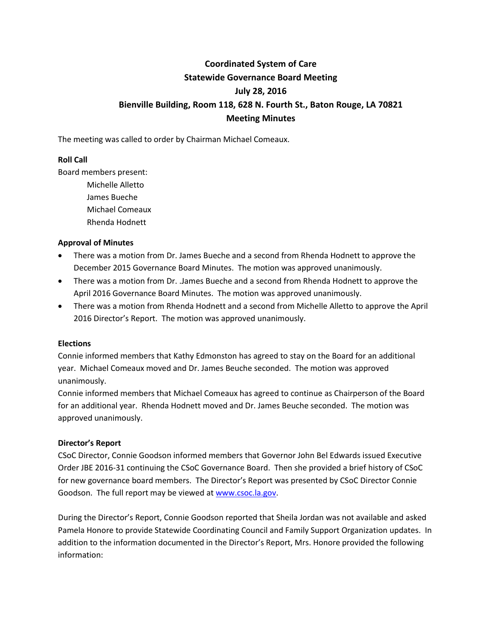# **Coordinated System of Care Statewide Governance Board Meeting July 28, 2016 Bienville Building, Room 118, 628 N. Fourth St., Baton Rouge, LA 70821 Meeting Minutes**

The meeting was called to order by Chairman Michael Comeaux.

## **Roll Call**

Board members present:

Michelle Alletto James Bueche Michael Comeaux Rhenda Hodnett

## **Approval of Minutes**

- There was a motion from Dr. James Bueche and a second from Rhenda Hodnett to approve the December 2015 Governance Board Minutes. The motion was approved unanimously.
- There was a motion from Dr. .James Bueche and a second from Rhenda Hodnett to approve the April 2016 Governance Board Minutes. The motion was approved unanimously.
- There was a motion from Rhenda Hodnett and a second from Michelle Alletto to approve the April 2016 Director's Report. The motion was approved unanimously.

#### **Elections**

Connie informed members that Kathy Edmonston has agreed to stay on the Board for an additional year. Michael Comeaux moved and Dr. James Beuche seconded. The motion was approved unanimously.

Connie informed members that Michael Comeaux has agreed to continue as Chairperson of the Board for an additional year. Rhenda Hodnett moved and Dr. James Beuche seconded. The motion was approved unanimously.

#### **Director's Report**

CSoC Director, Connie Goodson informed members that Governor John Bel Edwards issued Executive Order JBE 2016-31 continuing the CSoC Governance Board. Then she provided a brief history of CSoC for new governance board members. The Director's Report was presented by CSoC Director Connie Goodson. The full report may be viewed at [www.csoc.la.gov.](http://www.csoc.la.gov/)

During the Director's Report, Connie Goodson reported that Sheila Jordan was not available and asked Pamela Honore to provide Statewide Coordinating Council and Family Support Organization updates. In addition to the information documented in the Director's Report, Mrs. Honore provided the following information: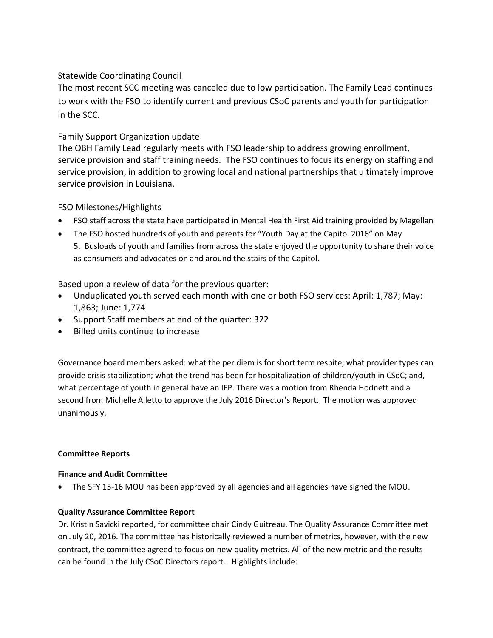# Statewide Coordinating Council

The most recent SCC meeting was canceled due to low participation. The Family Lead continues to work with the FSO to identify current and previous CSoC parents and youth for participation in the SCC.

# Family Support Organization update

The OBH Family Lead regularly meets with FSO leadership to address growing enrollment, service provision and staff training needs. The FSO continues to focus its energy on staffing and service provision, in addition to growing local and national partnerships that ultimately improve service provision in Louisiana.

# FSO Milestones/Highlights

- FSO staff across the state have participated in Mental Health First Aid training provided by Magellan
- The FSO hosted hundreds of youth and parents for "Youth Day at the Capitol 2016" on May 5. Busloads of youth and families from across the state enjoyed the opportunity to share their voice as consumers and advocates on and around the stairs of the Capitol.

Based upon a review of data for the previous quarter:

- Unduplicated youth served each month with one or both FSO services: April: 1,787; May: 1,863; June: 1,774
- Support Staff members at end of the quarter: 322
- Billed units continue to increase

Governance board members asked: what the per diem is for short term respite; what provider types can provide crisis stabilization; what the trend has been for hospitalization of children/youth in CSoC; and, what percentage of youth in general have an IEP. There was a motion from Rhenda Hodnett and a second from Michelle Alletto to approve the July 2016 Director's Report. The motion was approved unanimously.

## **Committee Reports**

## **Finance and Audit Committee**

The SFY 15-16 MOU has been approved by all agencies and all agencies have signed the MOU.

## **Quality Assurance Committee Report**

Dr. Kristin Savicki reported, for committee chair Cindy Guitreau. The Quality Assurance Committee met on July 20, 2016. The committee has historically reviewed a number of metrics, however, with the new contract, the committee agreed to focus on new quality metrics. All of the new metric and the results can be found in the July CSoC Directors report. Highlights include: